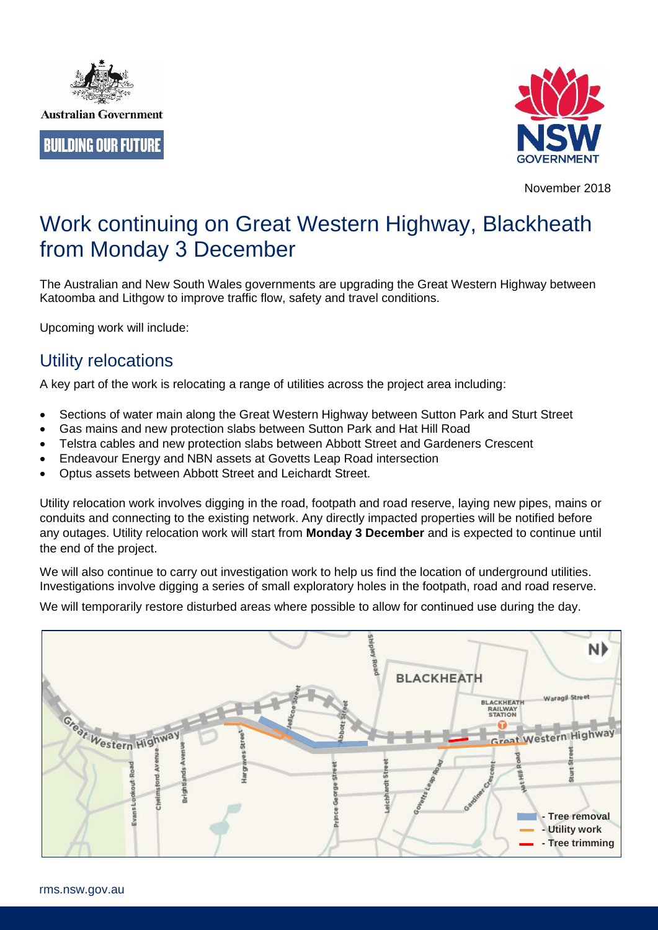



November 2018

# Work continuing on Great Western Highway, Blackheath from Monday 3 December

The Australian and New South Wales governments are upgrading the Great Western Highway between Katoomba and Lithgow to improve traffic flow, safety and travel conditions.

Upcoming work will include:

# Utility relocations

A key part of the work is relocating a range of utilities across the project area including:

- Sections of water main along the Great Western Highway between Sutton Park and Sturt Street
- Gas mains and new protection slabs between Sutton Park and Hat Hill Road
- Telstra cables and new protection slabs between Abbott Street and Gardeners Crescent
- Endeavour Energy and NBN assets at Govetts Leap Road intersection
- Optus assets between Abbott Street and Leichardt Street.

Utility relocation work involves digging in the road, footpath and road reserve, laying new pipes, mains or conduits and connecting to the existing network. Any directly impacted properties will be notified before any outages. Utility relocation work will start from **Monday 3 December** and is expected to continue until the end of the project.

We will also continue to carry out investigation work to help us find the location of underground utilities. Investigations involve digging a series of small exploratory holes in the footpath, road and road reserve.

We will temporarily restore disturbed areas where possible to allow for continued use during the day.